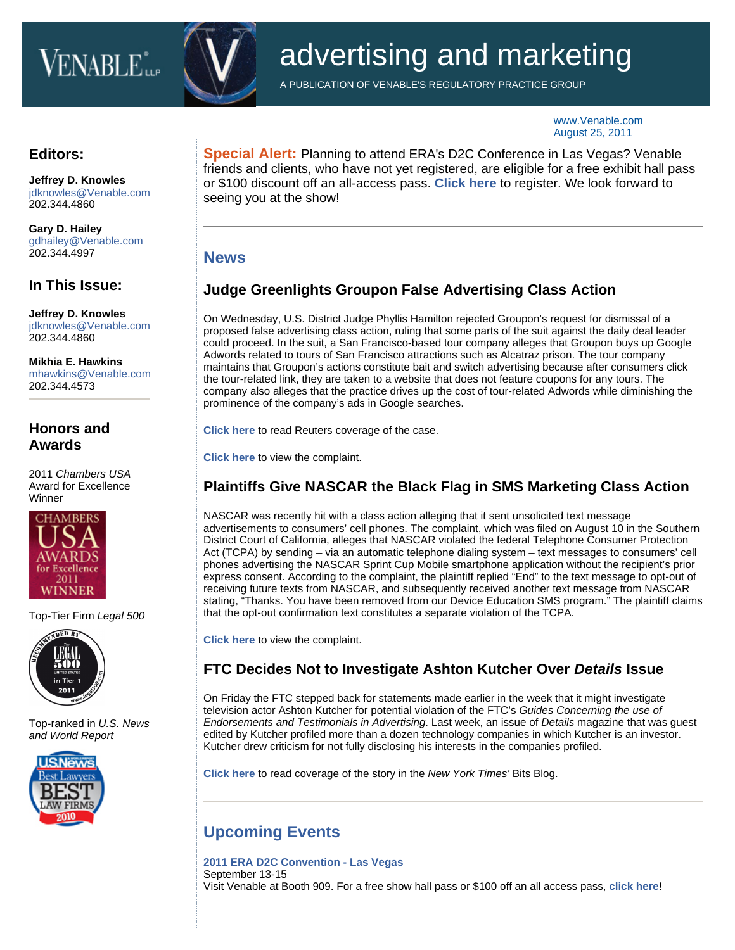# **VENABLE**L



## advertising and marketing

A PUBLICATION OF VENABLE'S REGULATORY PRACTICE GROUP

www.Venable.com August 25, 2011

#### **Editors:**

**[Jeffrey D. Knowles](http://www.venable.com/jeffrey-d-knowles/)** jdknowles@Venable.com 202.344.4860

**[Gary D. Hailey](http://www.venable.com/gary-d-hailey/)** gdhailey@Venable.com 202.344.4997

#### **In This Issue:**

**[Jeffrey D. Knowles](http://www.venable.com/jeffrey-d-knowles/)** jdknowles@Venable.com 202.344.4860

**[Mikhia E. Hawkins](http://www.venable.com/mikhia-e-hawkins/)** mhawkins@Venable.com 202.344.4573

#### **Honors and Awards**

2011 *Chambers USA* Award for Excellence Winner



Top-Tier Firm *Legal 500*



Top-ranked in *U.S. News and World Report*



**Special Alert:** Planning to attend ERA's D2C Conference in Las Vegas? Venable friends and clients, who have not yet registered, are eligible for a free exhibit hall pass or \$100 discount off an all-access pass. **[Click here](https://www.completereg.com/ERA/guest/index.aspx)** to register. We look forward to seeing you at the show!

### **News**

### **Judge Greenlights Groupon False Advertising Class Action**

On Wednesday, U.S. District Judge Phyllis Hamilton rejected Groupon's request for dismissal of a proposed false advertising class action, ruling that some parts of the suit against the daily deal leader could proceed. In the suit, a San Francisco-based tour company alleges that Groupon buys up Google Adwords related to tours of San Francisco attractions such as Alcatraz prison. The tour company maintains that Groupon's actions constitute bait and switch advertising because after consumers click the tour-related link, they are taken to a website that does not feature coupons for any tours. The company also alleges that the practice drives up the cost of tour-related Adwords while diminishing the prominence of the company's ads in Google searches.

**[Click here](http://www.reuters.com/article/2011/08/24/us-groupon-lawsuit-idUSTRE77N6NY20110824)** to read Reuters coverage of the case.

**[Click here](http://docs.justia.com/cases/federal/district-courts/california/candce/4:2011cv01300/238483/1/)** to view the complaint.

## **Plaintiffs Give NASCAR the Black Flag in SMS Marketing Class Action**

NASCAR was recently hit with a class action alleging that it sent unsolicited text message advertisements to consumers' cell phones. The complaint, which was filed on August 10 in the Southern District Court of California, alleges that NASCAR violated the federal Telephone Consumer Protection Act (TCPA) by sending – via an automatic telephone dialing system – text messages to consumers' cell phones advertising the NASCAR Sprint Cup Mobile smartphone application without the recipient's prior express consent. According to the complaint, the plaintiff replied "End" to the text message to opt-out of receiving future texts from NASCAR, and subsequently received another text message from NASCAR stating, "Thanks. You have been removed from our Device Education SMS program." The plaintiff claims that the opt-out confirmation text constitutes a separate violation of the TCPA.

**[Click here](http://www.courthousenews.com/2011/08/11/Spam.pdf)** to view the complaint.

#### **FTC Decides Not to Investigate Ashton Kutcher Over** *Details* **Issue**

On Friday the FTC stepped back for statements made earlier in the week that it might investigate television actor Ashton Kutcher for potential violation of the FTC's *Guides Concerning the use of Endorsements and Testimonials in Advertising*. Last week, an issue of *Details* magazine that was guest edited by Kutcher profiled more than a dozen technology companies in which Kutcher is an investor. Kutcher drew criticism for not fully disclosing his interests in the companies profiled.

**[Click here](http://bits.blogs.nytimes.com/2011/08/19/f-t-c-says-it-will-not-investigate-ashton-kutcher/)** to read coverage of the story in the *New York Times'* Bits Blog.

## **Upcoming Events**

**[2011 ERA D2C Convention - Las Vegas](http://www.d2cshow.org/)** September 13-15 Visit Venable at Booth 909. For a free show hall pass or \$100 off an all access pass, **[click here](https://www.completereg.com/ERA/guest/index.aspx)**!